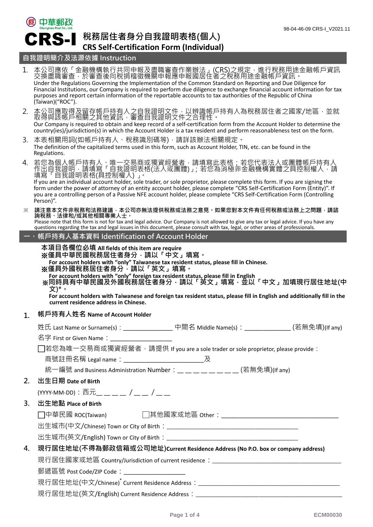# 3 中華郵政 CRS-I

# **稅務居住者身分自我證明表格(個人) CRS Self-Certification Form (Individual)**

## **自我證明簡介及法源依據 Instruction**

|                            | 1. 本公司應依「金融機構執行共同申報及盡職審查作業辦法」(CRS)之規定,進行稅務用途金融帳戶資訊<br>交換盡職審查,於審查後向稅捐稽徵機關申報應申報國居住者之稅務用途金融帳戶資訊。<br>Under the Regulations Governing the Implementation of the Common Standard on Reporting and Due Diligence for<br>Financial Institutions, our Company is required to perform due diligence to exchange financial account information for tax<br>purposes and report certain information of the reportable accounts to tax authorities of the Republic of China<br>(Taiwan)("ROC").                                                          |  |  |  |  |
|----------------------------|--------------------------------------------------------------------------------------------------------------------------------------------------------------------------------------------------------------------------------------------------------------------------------------------------------------------------------------------------------------------------------------------------------------------------------------------------------------------------------------------------------------------------------------------|--|--|--|--|
| 2.                         | 本公司應取得及留存帳戶持有人之自我證明文件,以辨識帳戶持有人為稅務居住者之國家/地區,並就<br>取得與該帳戶相關之其他資訊,審查自我證明文件之合理性。<br>Our Company is required to obtain and keep record of a self-certification form from the Account Holder to determine the<br>country(ies)/jurisdiction(s) in which the Account Holder is a tax resident and perform reasonableness test on the form.                                                                                                                                                                                                         |  |  |  |  |
| 3.                         | 本表相關用詞(如帳戶持有人、稅務識別碼等),請詳該辦法相關規定。<br>The definition of the capitalized terms used in this form, such as Account Holder, TIN, etc. can be found in the<br>Regulations.                                                                                                                                                                                                                                                                                                                                                                       |  |  |  |  |
| 4.                         | 若您為個人帳戶持有人、唯一交易商或獨資經營者,請填寫此表格;若您代表法人或團體帳戶持有人<br>作出自我證明,請填寫「自我證明表格(法人或團體)」;若您為消極非金融機構實體之具控制權人,請<br>填寫「自我證明表格(具控制權人) 」。<br>If you are an individual account holder, sole trader, or sole proprietor, please complete this form. If you are signing the<br>form under the power of attorney of an entity account holder, please complete "CRS Self-Certification Form (Entity)". If<br>you are a controlling person of a Passive NFE account holder, please complete "CRS Self-Certification Form (Controlling<br>Person)".                   |  |  |  |  |
| $\times$                   | ·請注意本文件非稅務和法務建議,本公司亦無法提供稅務或法務之意見。如果您對本文件有任何稅務或法務上之問題,請諮<br>詢稅務、法律和/或其他相關專業人士。<br>Please note that this form is not for tax and legal advice. Our Company is not allowed to give any tax or legal advice. If you have any<br>questions regarding the tax and legal issues in this document, please consult with tax, legal, or other areas of professionals.                                                                                                                                                                                |  |  |  |  |
| $\overline{\phantom{a}}$ . | 帳戶持有人基本資料 Identification of Account Holder                                                                                                                                                                                                                                                                                                                                                                                                                                                                                                 |  |  |  |  |
|                            | 本項目各欄位必填 All fields of this item are require<br>※僅具中華民國稅務居住者身分,請以「中文」填寫。<br>For account holders with "only" Taiwanese tax resident status, please fill in Chinese.<br>※僅具外國稅務居住者身分,請以「英文」填寫。<br>For account holders with "only" foreign tax resident status, please fill in English<br>※同時具有中華民國及外國稅務居住者身分 <sup>,</sup> 請以「英文」填寫 <sup>,</sup> 並以「中文」加填現行居住地址(中<br>文)*。<br>For account holders with Taiwanese and foreign tax resident status, please fill in English and additionally fill in the<br>current residence address in Chinese. |  |  |  |  |
| 1.                         | 帳戶持有人姓名 Name of Account Holder                                                                                                                                                                                                                                                                                                                                                                                                                                                                                                             |  |  |  |  |
|                            | 姓氏 Last Name or Surname(s):_________________中間名 Middle Name(s):_______________(若無免填)(If any)                                                                                                                                                                                                                                                                                                                                                                                                                                               |  |  |  |  |
|                            | 名字 First or Given Name:____________________                                                                                                                                                                                                                                                                                                                                                                                                                                                                                                |  |  |  |  |
|                            | □若您為唯一交易商或獨資經營者,請提供 If you are a sole trader or sole proprietor, please provide :                                                                                                                                                                                                                                                                                                                                                                                                                                                          |  |  |  |  |
|                            | 商號註冊名稱 Legal name:________________________________及                                                                                                                                                                                                                                                                                                                                                                                                                                                                                        |  |  |  |  |
|                            | 統一編號 and Business Administration Number:__ __ __ __ __ __ __ (若無免填)(If any)<br>出生日期 Date of Birth                                                                                                                                                                                                                                                                                                                                                                                                                                          |  |  |  |  |
| 2.                         |                                                                                                                                                                                                                                                                                                                                                                                                                                                                                                                                            |  |  |  |  |
|                            | (YYYY-MM-DD):西元__ __ __ / __ __ / __ __                                                                                                                                                                                                                                                                                                                                                                                                                                                                                                    |  |  |  |  |
| 3.                         |                                                                                                                                                                                                                                                                                                                                                                                                                                                                                                                                            |  |  |  |  |
|                            | 出生地點 Place of Birth                                                                                                                                                                                                                                                                                                                                                                                                                                                                                                                        |  |  |  |  |
|                            |                                                                                                                                                                                                                                                                                                                                                                                                                                                                                                                                            |  |  |  |  |
|                            |                                                                                                                                                                                                                                                                                                                                                                                                                                                                                                                                            |  |  |  |  |
|                            |                                                                                                                                                                                                                                                                                                                                                                                                                                                                                                                                            |  |  |  |  |
| 4.                         | 現行居住地址(不得為郵政信箱或公司地址)Current Residence Address (No P.O. box or company address)                                                                                                                                                                                                                                                                                                                                                                                                                                                             |  |  |  |  |
|                            |                                                                                                                                                                                                                                                                                                                                                                                                                                                                                                                                            |  |  |  |  |
|                            | 郵遞區號 Post Code/ZIP Code:____________________                                                                                                                                                                                                                                                                                                                                                                                                                                                                                               |  |  |  |  |
|                            |                                                                                                                                                                                                                                                                                                                                                                                                                                                                                                                                            |  |  |  |  |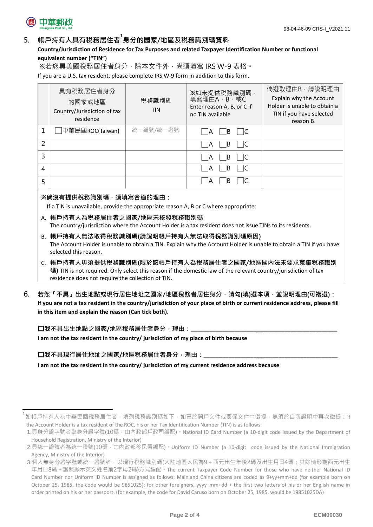

### **5. 帳戶持有人具有稅務居住者<sup>1</sup>身分的國家/地區及稅務識別碼資料**

#### **Country/Jurisdiction of Residence for Tax Purposes and related Taxpayer Identification Number or functional equivalent number ("TIN")**

※若您具美國稅務居住者身分,除本文件外,尚須填寫 IRS W-9 表格。

If you are a U.S. tax resident, please complete IRS W-9 form in addition to this form.

|               | 具有稅務居住者身分<br>的國家或地區<br>Country/Jurisdiction of tax<br>residence | 稅務識別碼<br><b>TIN</b> | ※如未提供稅務識別碼,<br>填寫理由A、B、或C<br>Enter reason A, B, or C if<br>no TIN available | 倘選取理由B,請說明理由<br>Explain why the Account<br>Holder is unable to obtain a<br>TIN if you have selected<br>reason B |
|---------------|-----------------------------------------------------------------|---------------------|-----------------------------------------------------------------------------|-----------------------------------------------------------------------------------------------------------------|
|               | 中華民國ROC(Taiwan)                                                 | 統一編號/統一證號           | IB.<br>ΙA                                                                   |                                                                                                                 |
| $\mathcal{P}$ |                                                                 |                     | B <br>ΙA                                                                    |                                                                                                                 |
| 3             |                                                                 |                     | -lB<br>ΙA                                                                   |                                                                                                                 |
| 4             |                                                                 |                     | -lB<br>ΙA                                                                   |                                                                                                                 |
|               |                                                                 |                     | ΙB                                                                          |                                                                                                                 |

#### **※倘沒有提供稅務識別碼,須填寫合適的理由:**

If a TIN is unavailable, provide the appropriate reason A, B or C where appropriate:

- A. **帳戶持有人為稅務居住者之國家/地區未核發稅務識別碼** The country/jurisdiction where the Account Holder is a tax resident does not issue TINs to its residents.
- B. **帳戶持有人無法取得稅務識別碼(請說明帳戶持有人無法取得稅務識別碼原因)** The Account Holder is unable to obtain a TIN. Explain why the Account Holder is unable to obtain a TIN if you have selected this reason.
- C. **帳戶持有人毋須提供稅務識別碼(限於該帳戶持有人為稅務居住者之國家/地區國內法未要求蒐集稅務識別 碼)** TIN is not required. Only select this reason if the domestic law of the relevant country/jurisdiction of tax residence does not require the collection of TIN.
- **6. 若您「不具」出生地點或現行居住地址之國家/地區稅務者居住身分,請勾(填)選本項,並說明理由(可複選): If you are not a tax resident in the country/jurisdiction of your place of birth or current residence address, please fill in this item and explain the reason (Can tick both).**

**□我不具出生地點之國家/地區稅務居住者身分**,理由: **I am not the tax resident in the country/ jurisdiction of my place of birth because** 

**囗**我不具現行居住地址之國家/地區稅務居住者身分,理由:

**I am not the tax resident in the country/ jurisdiction of my current residence address because**

 $^{\rm 1}$ 如帳戶持有人為中華民國稅務居住者,填列稅務識別碼如下,如已於開戶文件或要保文件中徵提,無須於自我證明中再次徵提:If the Account Holder is a tax resident of the ROC, his or her Tax Identification Number (TIN) is as follows:

<sup>1.</sup>具身分證字號者為身分證字號(10碼,由內政部戶政司編配)。National ID Card Number (a 10-digit code issued by the Department of Household Registration, Ministry of the Interior)

<sup>2.</sup>具統一證號者為統一證號(10碼,由內政部移民署編配)。Uniform ID Number (a 10-digit code issued by the National Immigration Agency, Ministry of the Interior)

<sup>3.</sup>個人無身分證字號或統一證號者,以現行稅務識別碼(大陸地區人民為9 + 西元出生年後2碼及出生月日4碼;其餘情形為西元出生 年月日8碼+護照顯示英文姓名前2字母2碼)方式編配。The current Taxpayer Code Number for those who have neither National ID Card Number nor Uniform ID Number is assigned as follows: Mainland China citizens are coded as 9+yy+mm+dd (for example born on October 25, 1985, the code would be 9851025); for other foreigners, yyyy+mm+dd + the first two letters of his or her English name in order printed on his or her passport. (for example, the code for David Caruso born on October 25, 1985, would be 19851025DA)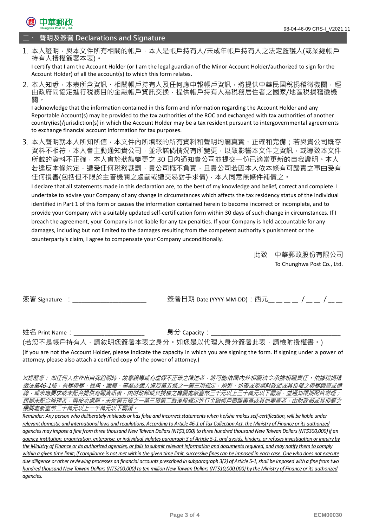

二、 **聲明及簽署 Declarations and Signature**

1. 本人證明·與本文件所有相關的帳戶·本人是帳戶持有人/未成年帳戶持有人之法定監護人(或業經帳戶 持有人授權簽署本表)。

I certify that I am the Account Holder (or I am the legal guardian of the Minor Account Holder/authorized to sign for the Account Holder) of all the account(s) to which this form relates.

2. 本人知悉,本表所含資訊、相關帳戶持有人及任何應申報帳戶資訊,將提供中華民國稅捐稽徵機關,經 由政府間協定進行稅務目的金融帳戶資訊交換,提供帳戶持有人為稅務居住者之國家/地區稅捐稽徵機 關。

I acknowledge that the information contained in this form and information regarding the Account Holder and any Reportable Account(s) may be provided to the tax authorities of the ROC and exchanged with tax authorities of another country(ies)/jurisdiction(s) in which the Account Holder may be a tax resident pursuant to intergovernmental agreements to exchange financial account information for tax purposes.

3. 本人聲明就本人所知所信,本文件內所填報的所有資料和聲明均屬真實、正確和完備;若與貴公司既存 資料不相符,本人會主動通知貴公司,並承諾倘情況有所變更,以致影響本文件之資訊,或導致本文件 所載的資料不正確,本人會於狀態變更之 30 日內通知貴公司並提交一份已適當更新的自我證明。本人 若違反本條約定,遭受任何稅務裁罰,貴公司概不負責,日貴公司若因本人依本條有可歸責之事由受有 任何損害(包括但不限於主管機關之處罰或遭交易對手求償),本人同意無條件補償之。

I declare that all statements made in this declaration are, to the best of my knowledge and belief, correct and complete. I undertake to advise your Company of any change in circumstances which affects the tax residency status of the individual identified in Part 1 of this form or causes the information contained herein to become incorrect or incomplete, and to provide your Company with a suitably updated self-certification form within 30 days of such change in circumstances. If I breach the agreement, your Company is not liable for any tax penalties. If your Company is held accountable for any damages, including but not limited to the damages resulting from the competent authority's punishment or the counterparty's claim, I agree to compensate your Company unconditionally.

> 此致 中華郵政股份有限公司 To Chunghwa Post Co., Ltd.

簽署 Signature :\_\_\_\_\_\_\_\_\_\_\_\_\_\_\_\_\_\_\_\_\_\_\_\_ 簽署日期 Date (YYYY-MM-DD):西元\_\_ \_\_ \_\_ \_\_ / \_\_ \_\_ / \_\_ \_\_

姓名 Print Name:\_\_\_\_\_\_\_\_\_\_\_\_\_\_\_\_\_\_\_\_\_\_\_ 身分 Capacity:\_\_\_\_\_\_\_\_\_\_\_\_\_\_\_\_\_\_\_\_\_\_\_\_\_\_\_\_\_\_\_\_\_\_\_\_\_\_\_\_\_\_

(若您不是帳戶持有人,請敘明您簽署本表之身分。如您是以代理人身分簽署此表,請檢附授權書。)

(If you are not the Account Holder, please indicate the capacity in which you are signing the form. If signing under a power of attorney, please also attach a certified copy of the power of attorney.)

※提醒您: 如任何人在作出自我證明時,故意誤導或有虛假不正確之陳述者,將可能依國內外相關法令承擔相關責任。依據稅捐稽 徵法第46-1條,有關機關、機構、團體、事業或個人違反第五條之一第三項規定,規避、妨礙或拒絕財政部或其授權之機關調查或備 。<br>*詢,或未應要求或未配合提供有關資訊者,由財政部或其授權之機關處新臺幣三千元以上三十萬元以下罰鍰,並通知限期配合辦理;* 屆期未配合辦理者,得按次處罰。未依第五條之一第三項第二款後段規定進行金融帳戶盡職審查或其他審查者,由財政部或其授權之 機關處新臺幣二十萬元以上一千萬元以下罰鍰。

*Reminder: Any person who deliberately misleads or has false and incorrect statements when he/she makes self-certification, will be liable under relevant domestic and international laws and regulations. According to Article 46-1 of Tax Collection Act, the Ministry of Finance or its authorized agencies may impose a fine from three thousand New Taiwan Dollars (NT\$3,000) to three hundred thousand New Taiwan Dollars (NT\$300,000) if an agency, institution, organization, enterprise, or individual violates paragraph 3 of Article 5-1, and avoids, hinders, or refuses investigation or inquiry by the Ministry of Finance or its authorized agencies, or fails to submit relevant information and documents required, and may notify them to comply within a given time limit; if compliance is not met within the given time limit, successive fines can be imposed in each case. One who does not execute due diligence or other reviewing processes on financial accounts prescribed in subparagraph 3(2) of Article 5-1, shall be imposed with a fine from two hundred thousand New Taiwan Dollars (NT\$200,000) to ten million New Taiwan Dollars (NT\$10,000,000) by the Ministry of Finance or its authorized agencies.*